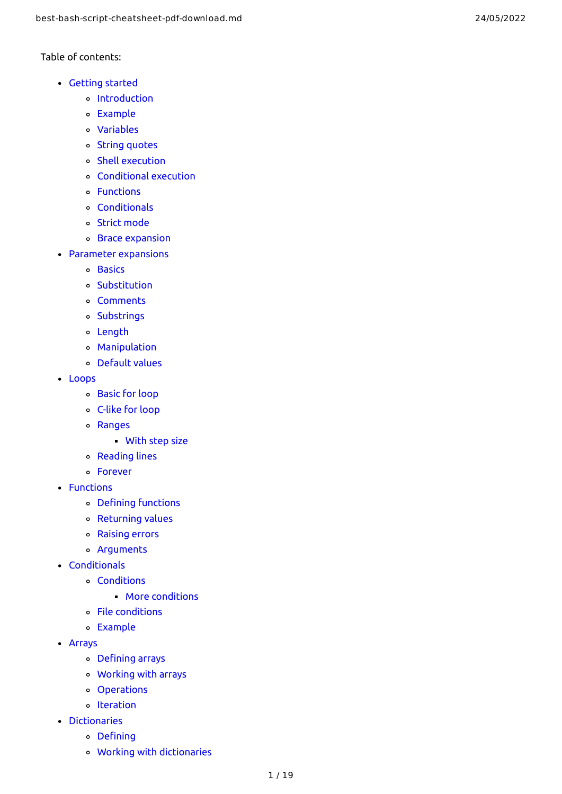Table of contents:

- Get[tin](#page-1-0)g started
	- [Introductio](#page-1-1) n
	- **Exa[m](#page-1-2)ple**
	- **Va[ria](#page-2-0)bles**
	- St[rin](#page-2-1)g quotes
	- Shell execu[tio](#page-2-2)n
	- Con[ditio](#page-2-3)nal execution
	- **Func[tio](#page-2-4)ns**
	- **Con[ditio](#page-2-5)nals**
	- St[ric](#page-3-0)t mode
	- Brace expan[sio](#page-3-1)n
- Parameter expan[sio](#page-3-2)ns
	- **Ba[sic](#page-3-3)s**
	- **Substitu[tio](#page-4-0)n**
	- Co[m](#page-5-0)ments
	- **Subst[rin](#page-5-1)gs**
	- Len[g](#page-5-2)th
	- **Ma[nip](#page-5-3)ulation**
	- [D](#page-5-4)efault values
- L[o](#page-6-0)ops
	- Ba[sic](#page-6-1) for loop
	- C-[lik](#page-6-2)e for loop
	- [R](#page-6-3)anges
		- <mark>s</mark><br>[Wit](#page-6-4)h step size
	- Rea[din](#page-6-5)g lines
	- F[o](#page-7-0)rever
- **Functions** 
	- Defi[nin](#page-7-1)g functions
	- Retur[nin](#page-7-2)g values
	- R[aisin](#page-7-3)g errors
	- Argu[m](#page-8-0)ents
- **Conditionals** 
	- **Con[ditio](#page-8-1)ns** 
		- More con[ditio](#page-9-0)ns
	- File con[ditio](#page-9-1)ns
	- **Example**
- [A](#page-10-0)rrays
	- Defi[nin](#page-10-1)g arrays
	- Working [wit](#page-11-0)h arrays
	- **Opera[tio](#page-11-1)ns**
	- [Iteration](#page-11-2)
- **[Dic](#page-11-3)tionaries** 
	- Defi[nin](#page-11-4)g
	- Working [wit](#page-12-0)h dictionaries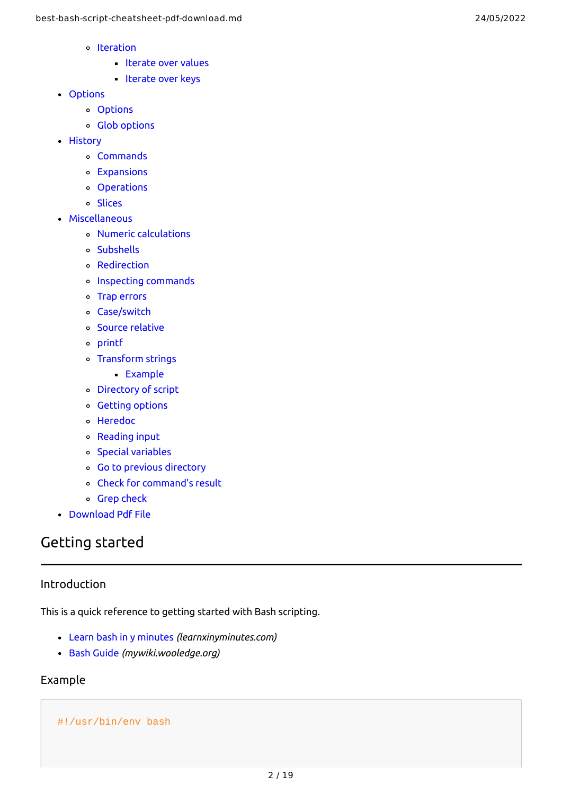- Iteration
	- [Iterate](#page-12-1) over values
	- [Iterate](#page-12-2) over keys
- [Options](#page-12-3)
	- Options
	- Glob [options](#page-12-4)
- [History](#page-13-0)
	- [Commands](#page-13-1)
	- [Expansions](#page-13-2)
	- Operations
	- [Slices](#page-13-3)
- [Miscellaneous](#page-14-0)
	- Numeric [calculations](#page-14-1)
	- [Subshells](#page-14-2)
	- [Redirection](#page-14-3)
	- Inspecting [commands](#page-14-4)
	- Trap [errors](#page-14-5)
	- [Case/switch](#page-15-0)
	- Source [relative](#page-15-1)
	- [printf](#page-15-2)
	- [Transform](#page-15-3) strings
		- Example
	- [Directory](#page-16-0) of script
	- Getting [options](#page-16-1)
	- [Heredoc](#page-16-2)
	- [Reading](#page-17-0) input
	- Special [variables](#page-17-1)
	- Go to previous [directory](#page-17-2)
	- Check for [command's](#page-17-3) result
	- Grep [check](#page-17-4)
- [Download](#page-18-0) Pdf File

# <span id="page-1-0"></span>Getting started

#### <span id="page-1-1"></span>Introduction

This is a quick reference to getting started with Bash scripting.

- Learn bash in y [minutes](https://learnxinyminutes.com/docs/bash/) *(learnxinyminutes.com)*
- Bash [Guide](http://mywiki.wooledge.org/BashGuide) *(mywiki.wooledge.org)*

## <span id="page-1-2"></span>Example

## #!/usr/bin/env bash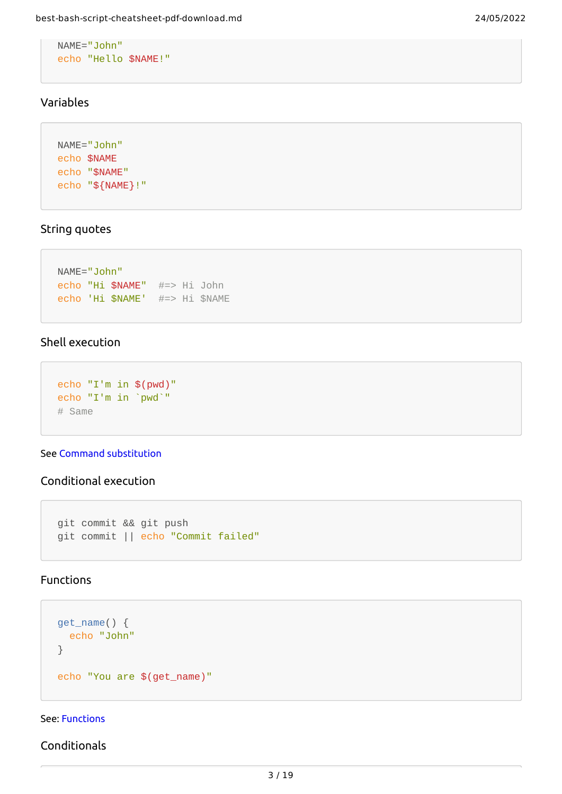```
NAME="John"
echo "Hello $NAME!"
```
## <span id="page-2-0"></span>Variables

```
NAME="John"
echo $NAME
echo "$NAME"
echo "${NAME}!"
```
### <span id="page-2-1"></span>String quotes

```
NAME="John"
echo "Hi $NAME" #=> Hi John
echo 'Hi $NAME' #=> Hi $NAME
```
#### <span id="page-2-2"></span>Shell execution

```
echo "I'm in $(pwd)"
echo "I'm in `pwd`"
# Same
```
#### See Command [substitution](http://wiki.bash-hackers.org/syntax/expansion/cmdsubst)

## <span id="page-2-3"></span>Conditional execution

```
git commit && git push
git commit || echo "Commit failed"
```
## <span id="page-2-4"></span>Functions

```
get_name() {
  echo "John"
}
echo "You are $(get_name)"
```
#### See: [Functions](#page-2-4)

<span id="page-2-5"></span>Conditionals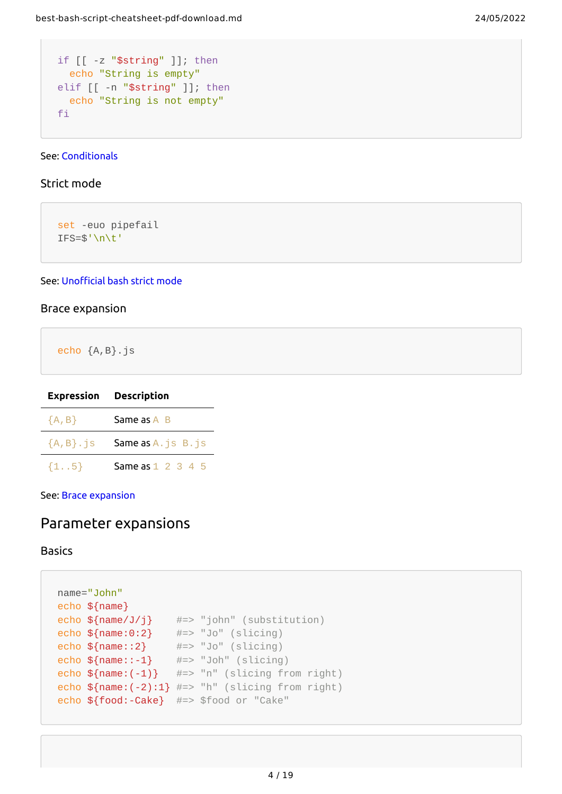```
if [[ -z "$string" ]]; then
  echo "String is empty"
elif [[ -n "$string" ]]; then
  echo "String is not empty"
fi
```
#### See: [Conditionals](#page-2-5)

#### <span id="page-3-0"></span>Strict mode

set -euo pipefail IFS=\$'\n\t'

#### See: [Unofficial](http://redsymbol.net/articles/unofficial-bash-strict-mode/) bash strict mode

#### <span id="page-3-1"></span>Brace expansion

echo {A,B}.js

|              | <b>Expression Description</b> |
|--------------|-------------------------------|
| ${A, B}$     | Same as A B                   |
| ${A, B}, js$ | <b>Same as A.</b> js B. js    |
| $\{15\}$     | Same as 1 2 3 4 5             |

See: Brace [expansion](http://wiki.bash-hackers.org/syntax/expansion/brace)

## <span id="page-3-2"></span>Parameter expansions

<span id="page-3-3"></span>Basics

```
name="John"
echo ${name}
echo \ {name/Jj} \#=\ "john" (substitution)
echo \{\text{name:0:2}\} #=> "Jo" (slicing)
echo \{\text{name}::2\} #=> "Jo" (slicing)
echo \{\text{name}:\text{-}1\} #=> "Joh" (slicing)
echo \mathcal{S}\{\text{name}: (-1)\} #=> "n" (slicing from right)
echo \frac{1}{2} and \frac{1}{2}: 1} #=> "h" (slicing from right)
echo ${food:-Cake} #=> $food or "Cake"
```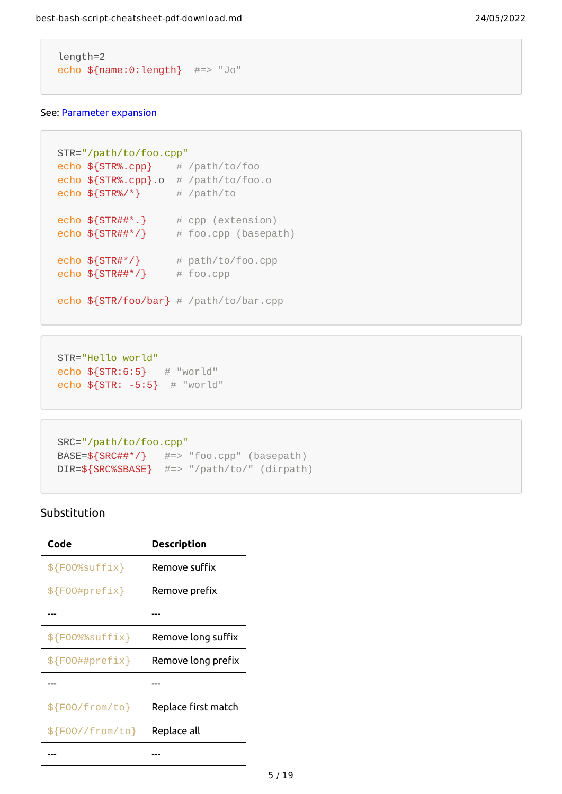```
length=2
echo ${name:0:length} #=> "Jo"
```
#### See: [Parameter](http://wiki.bash-hackers.org/syntax/pe) expansion

```
STR="/path/to/foo.cpp"
echo ${STR%.cpp} # /path/to/foo
echo ${STR%.cpp}.o # /path/to/foo.o
echo \S{STR%}/*\} # /path/to
echo \S{STR\# \#^*}.} # cpp (extension)
echo \frac{1}{2} \frac{1}{2} \frac{1}{2} \frac{1}{2} \frac{1}{2} \frac{1}{2} \frac{1}{2} \frac{1}{2} \frac{1}{2} \frac{1}{2} \frac{1}{2} \frac{1}{2} \frac{1}{2} \frac{1}{2} \frac{1}{2} \frac{1}{2} \frac{1}{2} \frac{1}{2} \frac{1}{2} \frac{1}{2} \frac{1}{2} \frac{1}{2echo \frac{STR\#^*}{ } # path/to/foo.cpp
echo \sqrt{STR##*/} # foo.cpp
echo ${STR/foo/bar} # /path/to/bar.cpp
```

```
STR="Hello world"
echo ${STR:6:5} # "world"
echo ${STR: -5:5} # "world"
```

```
SRC="/path/to/foo.cpp"
BASE = ${SRC\# \#^*}/ \# = > "foo.cpp" (basepath)DIR=${SRC%$BASE} #=> "/path/to/" (dirpath)
```
#### <span id="page-4-0"></span>Substitution

| Code             | Description         |
|------------------|---------------------|
| \${F00%suffix}   | Remove suffix       |
| \${F00#prefix}   | Remove prefix       |
|                  |                     |
| \${F00%%suffix}  | Remove long suffix  |
| \${F00##prefix}  | Remove long prefix  |
|                  |                     |
| \${FOO/from/to}  | Replace first match |
| \${F00//from/to} | Replace all         |
|                  |                     |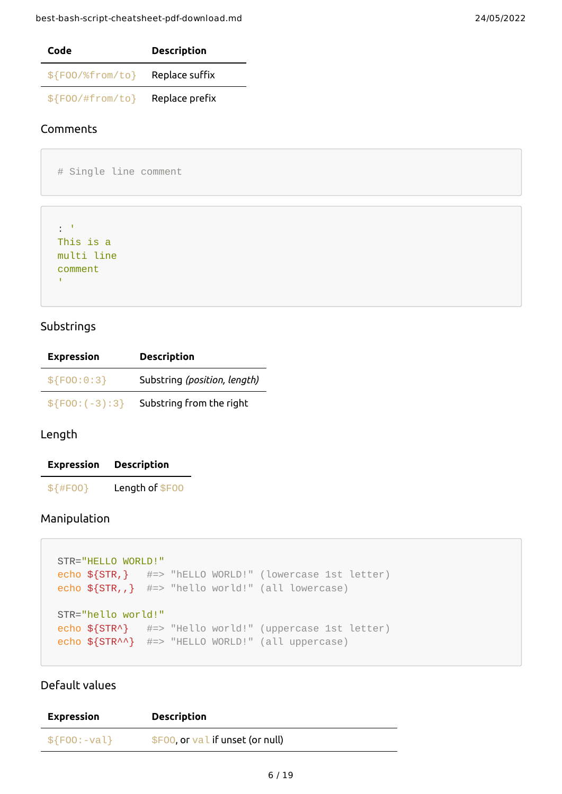| Code               | <b>Description</b> |
|--------------------|--------------------|
| $$F00/\%$ from/to} | Replace suffix     |
| $$F00/#from/to\}$  | Replace prefix     |

#### <span id="page-5-0"></span>Comments

# Single line comment

```
: '
This is a
multi line
comment
\Gamma
```
#### <span id="page-5-1"></span>Substrings

| <b>Expression</b> | <b>Description</b>           |
|-------------------|------------------------------|
| \$F00:0:3         | Substring (position, length) |
| $$F00:(-3):3$     | Substring from the right     |

#### <span id="page-5-2"></span>Length

| <b>Expression</b> | <b>Description</b> |
|-------------------|--------------------|
| $$$ {#F00}        | Length of \$F00    |

#### <span id="page-5-3"></span>Manipulation

```
STR="HELLO WORLD!"
echo ${STR,} #=> "hELLO WORLD!" (lowercase 1st letter)
echo ${STR,,} #=> "hello world!" (all lowercase)
STR="hello world!"
echo ${STR^} #=> "Hello world!" (uppercase 1st letter)
echo ${STR^^} #=> "HELLO WORLD!" (all uppercase)
```
### <span id="page-5-4"></span>Default values

| <b>Expression</b> | <b>Description</b>                 |
|-------------------|------------------------------------|
| $$F00:-val$       | $$F00$ , or val if unset (or null) |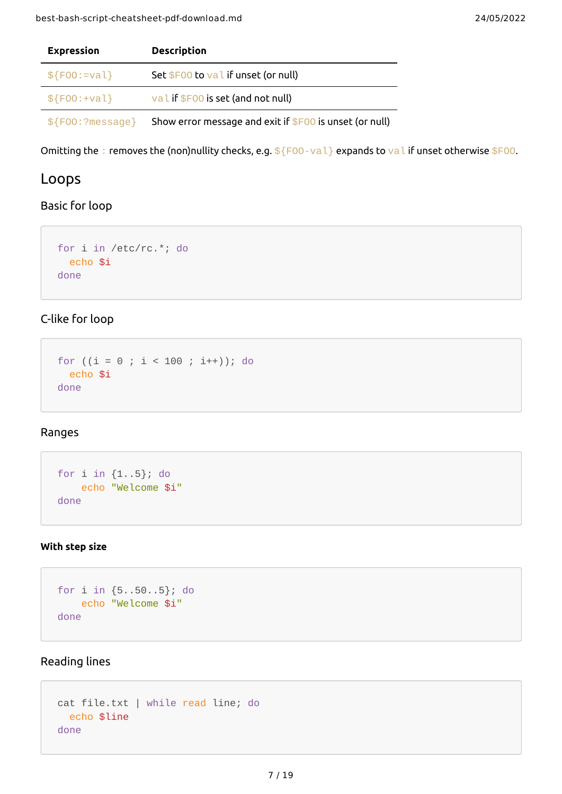| <b>Expression</b>  | <b>Description</b>                                       |  |
|--------------------|----------------------------------------------------------|--|
| $$F00:=val$        | Set \$F00 to val if unset (or null)                      |  |
| $$F00:+val\}$      | val if \$F00 is set (and not null)                       |  |
| $$F00$ : ?message} | Show error message and exit if $$F00$ is unset (or null) |  |

Omitting the : removes the (non)nullity checks, e.g.  $f[FOO-val]$  expands to val if unset otherwise  $f[OO]$ .

## <span id="page-6-0"></span>Loops

#### <span id="page-6-1"></span>Basic for loop

```
for i in /etc/rc.*; do
  echo $i
done
```
## <span id="page-6-2"></span>C-like for loop

```
for ((i = 0 ; i < 100 ; i++); do
  echo $i
done
```
## <span id="page-6-3"></span>Ranges

```
for i in {1..5}; do
    echo "Welcome $i"
done
```
#### <span id="page-6-4"></span>**With step size**

```
for i in {5..50..5}; do
    echo "Welcome $i"
done
```
## <span id="page-6-5"></span>Reading lines

```
cat file.txt | while read line; do
  echo $line
done
```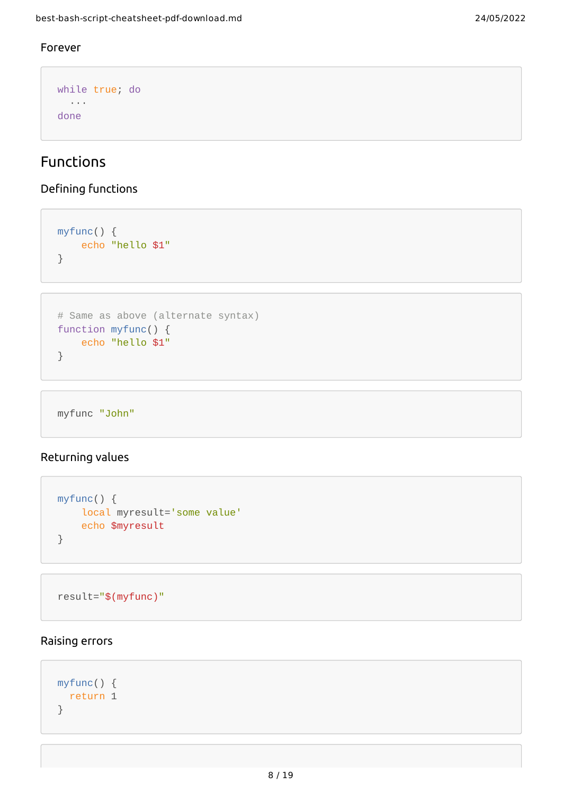### <span id="page-7-0"></span>Forever

```
while true; do
   ···
done
```
# Functions

## <span id="page-7-1"></span>Defining functions

```
myfunc() {
    echo "hello $1"
}
```

```
# Same as above (alternate syntax)
function myfunc() {
    echo "hello $1"
}
```
myfunc "John"

## <span id="page-7-2"></span>Returning values

```
myfunc() {
     local myresult='some value'
     echo $myresult
}
```

```
result="$(myfunc)"
```
#### <span id="page-7-3"></span>Raising errors

```
myfunc() {
  return 1
}
```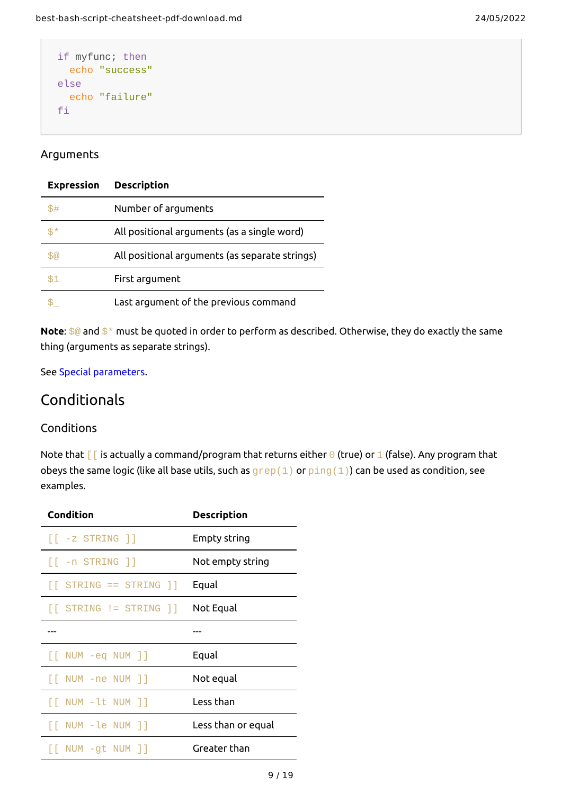```
if myfunc; then
   echo "success"
else
   echo "failure"
fi
```
#### <span id="page-8-0"></span>Arguments

| <b>Expression</b> | <b>Description</b>                             |
|-------------------|------------------------------------------------|
| \$#               | Number of arguments                            |
| \$*               | All positional arguments (as a single word)    |
|                   | All positional arguments (as separate strings) |
|                   | First argument                                 |
|                   | Last argument of the previous command          |

**Note**: \$@ and \$\* must be quoted in order to perform as described. Otherwise, they do exactly the same thing (arguments as separate strings).

See Special [parameters](http://wiki.bash-hackers.org/syntax/shellvars#special_parameters_and_shell_variables).

## Conditionals

#### <span id="page-8-1"></span>**Conditions**

Note that  $\lceil \cdot \rceil$  is actually a command/program that returns either  $\Theta$  (true) or 1 (false). Any program that obeys the same logic (like all base utils, such as  $\mathsf{prep}(1)$  or  $\mathsf{ping}(1)$ ) can be used as condition, see examples.

| Condition                                                                                                               | Description        |
|-------------------------------------------------------------------------------------------------------------------------|--------------------|
| $\lceil \cdot z \rceil$ STRING $\rceil$                                                                                 | Empty string       |
| $\lceil \lceil$ -n STRING $\rceil$                                                                                      | Not empty string   |
| $\lceil$ STRING == STRING $\rceil$                                                                                      | Equal              |
| $\begin{bmatrix} \end{bmatrix}$ STRING $\begin{bmatrix} \end{bmatrix}$ STRING $\begin{bmatrix} \end{bmatrix}$ Not Equal |                    |
|                                                                                                                         |                    |
| $\lceil \lceil$ NUM -eq NUM $\rceil$                                                                                    | Equal              |
| $\lceil$ NUM -ne NUM $\rceil$                                                                                           | Not equal          |
| $\lceil \lceil$ NUM -lt NUM $\rceil$ ]                                                                                  | Less than          |
| [[ NUM -le NUM ]]                                                                                                       | Less than or equal |
| [[ NUM -gt NUM ]]                                                                                                       | Greater than       |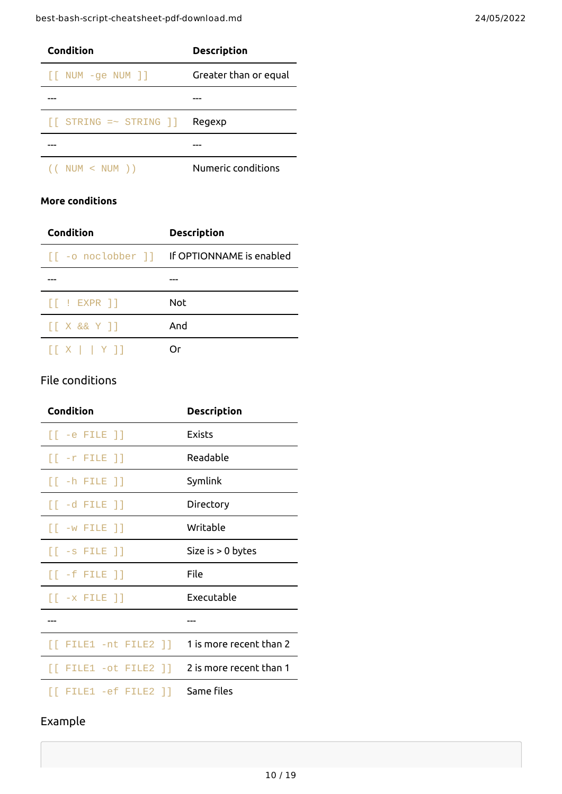| <b>Condition</b>                                                 | <b>Description</b>    |
|------------------------------------------------------------------|-----------------------|
| $\lceil \lceil$ NUM -ge NUM $\rceil$                             | Greater than or equal |
|                                                                  |                       |
| $[\begin{bmatrix} \text{STRING} =& \text{STRING} \end{bmatrix}]$ | Regexp                |
|                                                                  |                       |
| $($ NUM $<$ NUM $)$                                              | Numeric conditions    |

#### <span id="page-9-0"></span>**More conditions**

| Condition                               | <b>Description</b>                          |
|-----------------------------------------|---------------------------------------------|
|                                         | [[ -o noclobber ]] If OPTIONNAME is enabled |
|                                         |                                             |
| $\lceil \cdot \rceil$ : EXPR $\rceil$   | Not                                         |
| $\lceil$ X && Y $\rceil$ ]              | And                                         |
| $\lceil X \rceil$   $\lceil Y \rceil$ ] |                                             |

## <span id="page-9-1"></span>File conditions

| <b>Condition</b>                                          | <b>Description</b>      |
|-----------------------------------------------------------|-------------------------|
| $[$ -e FILE $]$                                           | Exists                  |
| $[[ -r$ FILE $]$                                          | Readable                |
| $[[ -h$ FILE $]$                                          | Symlink                 |
| $[[ -d FILE ]]$                                           | Directory               |
| $\lceil \cdot w \rceil$ FILE $\rceil$                     | Writable                |
| $[[ -s$ FILE $]$                                          | Size is $> 0$ bytes     |
| $\lceil \lceil$ -f FILE $\rceil$ $\rceil$                 | File                    |
| $\lceil \lceil$ -x FILE $\rceil$                          | Executable              |
|                                                           |                         |
| $\lceil \lceil$ FILE1 -nt FILE2 $\rceil$ $\rceil$         | 1 is more recent than 2 |
| $\lceil$ FILE1 -ot FILE2 $\rceil$ 2 is more recent than 1 |                         |
| $\lceil$ FILE1 -ef FILE2 $\rceil$ ]                       | Same files              |

# Example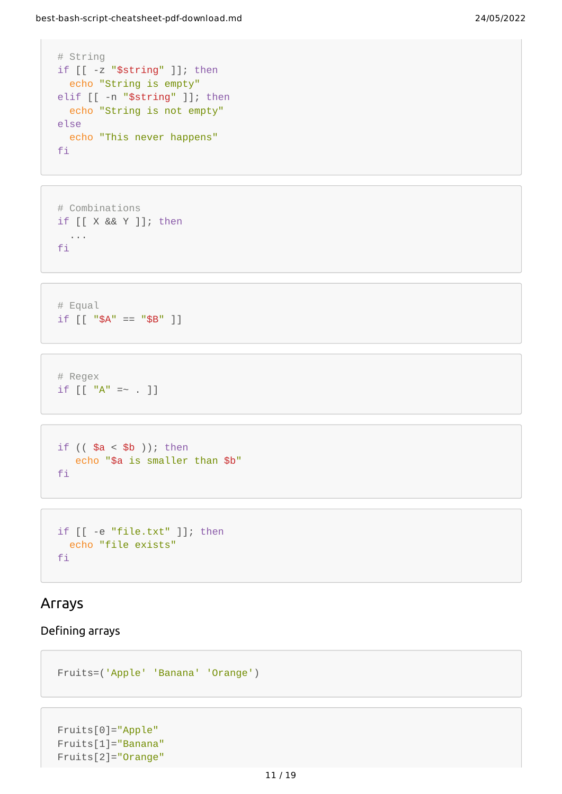```
# String
if [[ -z "$string" ]]; then
  echo "String is empty"
elif [[ -n "$string" ]]; then
  echo "String is not empty"
else
   echo "This never happens"
fi
```

```
# Combinations
if [[ X && Y ]]; then
  ...
fi
```

```
# Equal
if [ | "SA" == "SB" ]]
```
# Regex if  $[[ "A" = ~ . ]]$ 

```
if (( $a < $b ); then
   echo "$a is smaller than $b"
fi
```

```
if [[ -e "file.txt" ]]; then
  echo "file exists"
fi
```
## <span id="page-10-0"></span>Arrays

#### <span id="page-10-1"></span>Defining arrays

```
Fruits=('Apple' 'Banana' 'Orange')
```

```
Fruits[0]="Apple"
Fruits[1]="Banana"
Fruits[2]="Orange"
```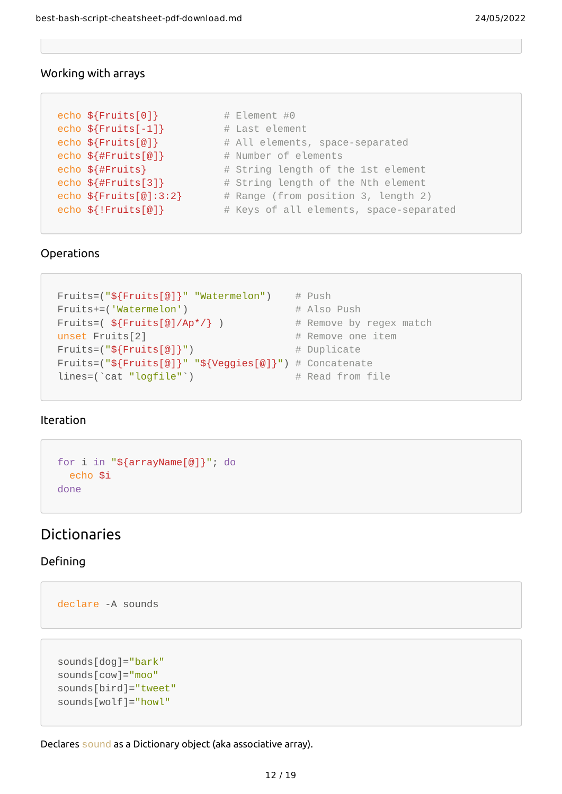### <span id="page-11-0"></span>Working with arrays

```
echo \{Fruits[0] \} # Element #0
echo ${Fruits[-1]} # Last element
echo ${Fruits[@]} \qquad \qquad \# All elements, space-separated
echo \{\text{FFTuits}[\emptyset]\} # Number of elements
echo ${#Fruits} # String length of the 1st element
echo \{ \# \text{Fruits[3]} \} # String length of the Nth element
echo \{Fruits[@]:3:2\} # Range (from position 3, length 2)
echo ${!Fruits[@]} \qquad \qquad \# Keys of all elements, space-separated
```
#### <span id="page-11-1"></span>Operations

```
Fruits=("${Fruits[@]}" "Watermelon") # Push
Fruits+=('Watermelon') # Also Push
Fruits=(\frac{1}{2}Fruits[\frac{1}{2}/Ap<sup>*</sup>/} ) # Remove by regex match
unset Fruits[2] \# Remove one item
Fruits=("${Fruits[@]}") # Duplicate
Fruits=("${Fruits[@]}" "${Veggies[@]}") # Concatenate
lines=(`cat "logfile"`) \qquad # Read from file
```
#### <span id="page-11-2"></span>Iteration

```
for i in "${arrayName[@]}"; do
  echo $i
done
```
## <span id="page-11-3"></span>Dictionaries

#### <span id="page-11-4"></span>Defining

```
declare -A sounds
```

```
sounds[dog]="bark"
sounds[cow]="moo"
sounds[bird]="tweet"
sounds[wolf]="howl"
```
Declares sound as a Dictionary object (aka associative array).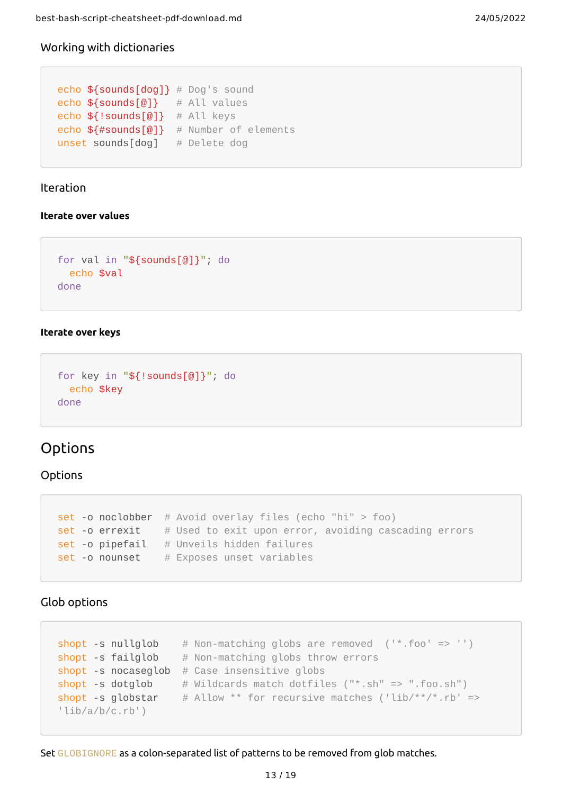#### <span id="page-12-0"></span>Working with dictionaries

```
echo ${sounds[dog]} # Dog's sound
echo ${sounds[@]} # All values
echo ${!sounds[@]} # All keys
echo ${#sounds[@]} # Number of elements
unset sounds[dog] # Delete dog
```
#### Iteration

#### <span id="page-12-1"></span>**Iterate over values**

```
for val in "${sounds[@]}"; do
  echo $val
done
```
#### <span id="page-12-2"></span>**Iterate over keys**

```
for key in "${!sounds[@]}"; do
  echo $key
done
```
## <span id="page-12-3"></span>Options

#### **Options**

```
set -o noclobber # Avoid overlay files (echo "hi" > foo)
set -o errexit # Used to exit upon error, avoiding cascading errors
set-o pipefail # Unveils hidden failures
set -o nounset # Exposes unset variables
```
#### <span id="page-12-4"></span>Glob options

```
\textsf{short} -s nullglob \# Non-matching globs are removed ('*.foo' => '')short -s failglob # Non-matching globs throw errors
shopt -s nocaseglob # Case insensitive globs
shopt -s dotglob # Wildcards match dotfiles ("*.sh" => ".foo.sh")shopt -s globstar # Allow ** for recursive matches ('lib/**/*.rb' =>
'lib/a/b/c.rb')
```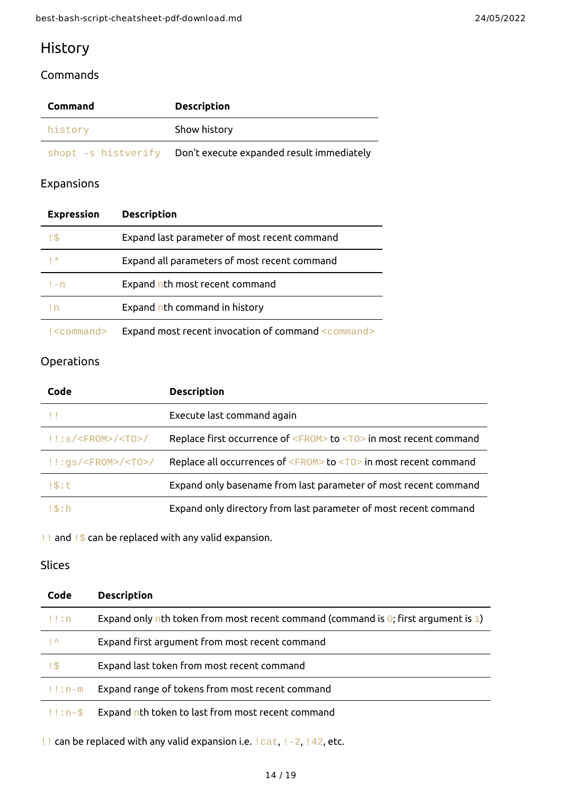# <span id="page-13-0"></span>History

### <span id="page-13-1"></span>Commands

| <b>Command</b>      | <b>Description</b>                        |
|---------------------|-------------------------------------------|
| history             | Show history                              |
| shopt -s histverify | Don't execute expanded result immediately |

## <span id="page-13-2"></span>Expansions

| <b>Expression</b> | <b>Description</b>                                  |
|-------------------|-----------------------------------------------------|
| !\$               | Expand last parameter of most recent command        |
| $  *$             | Expand all parameters of most recent command        |
| $l - n$           | Expand nth most recent command                      |
| I n               | Expand nth command in history                       |
| $\leq$ command>   | Expand most recent invocation of command <command/> |

## Operations

| Code                                 | <b>Description</b>                                                            |
|--------------------------------------|-------------------------------------------------------------------------------|
| - 11                                 | Execute last command again                                                    |
| $!$ : : s/ <fr0m>/<t0>/</t0></fr0m>  | Replace first occurrence of <fr0m> to <t0> in most recent command</t0></fr0m> |
| $!$ : $gs/$ <fr0m>/<t0>/</t0></fr0m> | Replace all occurrences of $\leq$ FROM> to $\leq$ TO> in most recent command  |
| $1\$ :t                              | Expand only basename from last parameter of most recent command               |
| $1\$ th: h                           | Expand only directory from last parameter of most recent command              |

!! and !\$ can be replaced with any valid expansion.

## <span id="page-13-3"></span>Slices

| Code                | <b>Description</b>                                                                         |
|---------------------|--------------------------------------------------------------------------------------------|
| $! \cdot$ : n       | Expand only nth token from most recent command (command is $\Theta$ ; first argument is 1) |
| $\mathbf{I} \wedge$ | Expand first argument from most recent command                                             |
| !\$                 | Expand last token from most recent command                                                 |
| $!$ : $n$ - $m$     | Expand range of tokens from most recent command                                            |
| $!1:n-$ \$          | Expand nth token to last from most recent command                                          |

!! can be replaced with any valid expansion i.e. !cat, !-2, !42, etc.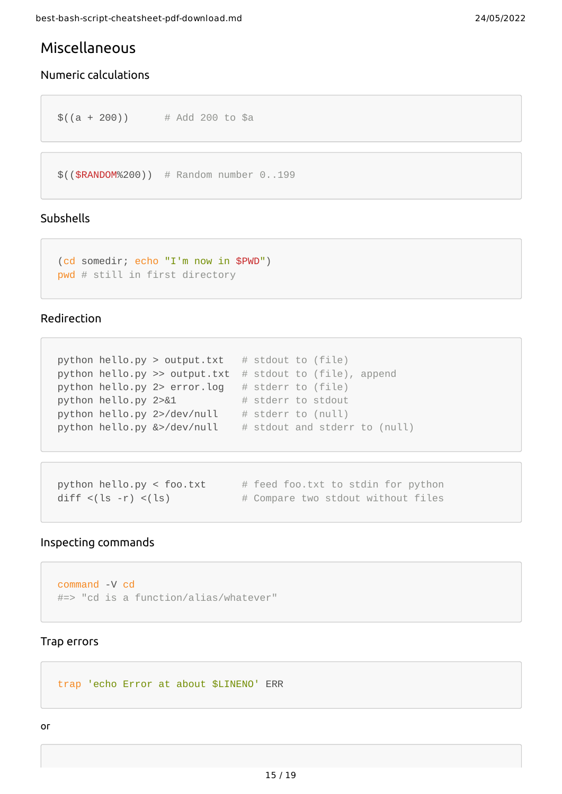## <span id="page-14-0"></span>Miscellaneous

### <span id="page-14-1"></span>Numeric calculations

```
$(a + 200)) # Add 200 to $a
```

```
$(($RANDOM%200)) # Random number 0..199
```
#### <span id="page-14-2"></span>Subshells

```
(cd somedir; echo "I'm now in $PWD")
pwd # still in first directory
```
#### <span id="page-14-3"></span>Redirection

```
python hello.py > output.txt # stdout to (file)
python hello.py >> output.txt # stdout to (file), append
python hello.py 2> error.log # stderr to (file)
python hello.py 2 > 81 # stderr to stdout
python hello.py 2>/dev/null \# stderr to (null)
python hello.py \>/dev/null \quad # stdout and stderr to (null)
```

```
python hello.py < foo.txt # feed foo.txt to stdin for python
diff \langle (ls -r) \langle (ls) \qquad \qquad \# Compare two stdout without files
```
#### <span id="page-14-4"></span>Inspecting commands

```
command -V cd
#=> "cd is a function/alias/whatever"
```
#### <span id="page-14-5"></span>Trap errors

trap 'echo Error at about \$LINENO' ERR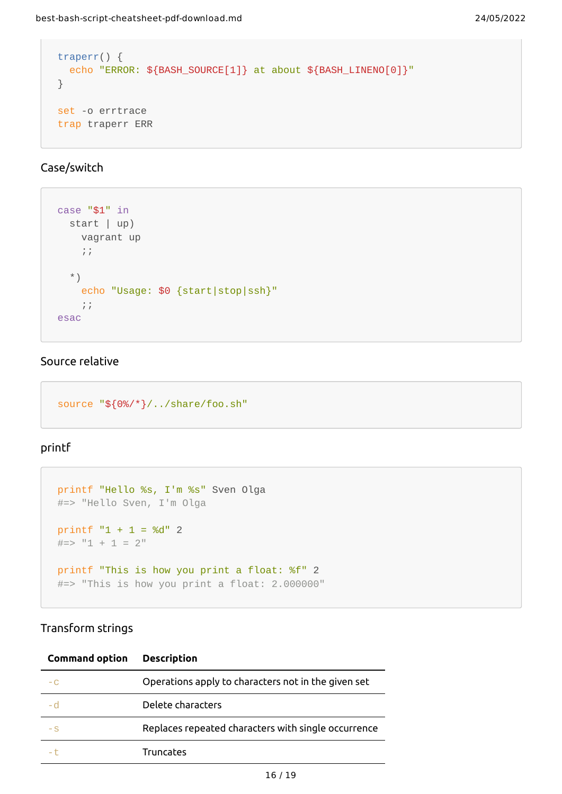```
traperr() {
 echo "ERROR: ${BASH_SOURCE[1]} at about ${BASH_LINENO[0]}"
}
set -o errtrace
trap traperr ERR
```
#### <span id="page-15-0"></span>Case/switch

```
case "$1" in
   start | up)
     vagrant up
    \frac{1}{\sqrt{2}} *)
     echo "Usage: $0 {start|stop|ssh}"
     ;;
esac
```
### <span id="page-15-1"></span>Source relative

```
source "${0%/*}/../share/foo.sh"
```
#### <span id="page-15-2"></span>printf

```
printf "Hello %s, I'm %s" Sven Olga
#=> "Hello Sven, I'm Olga
printf "1 + 1 = %d" 2\#=\gg "1 + 1 = 2"
printf "This is how you print a float: %f" 2
#=> "This is how you print a float: 2.000000"
```
## <span id="page-15-3"></span>Transform strings

| <b>Command option</b> | <b>Description</b>                                  |
|-----------------------|-----------------------------------------------------|
| $-C$                  | Operations apply to characters not in the given set |
| - 0                   | Delete characters                                   |
| $-S$                  | Replaces repeated characters with single occurrence |
|                       | Truncates                                           |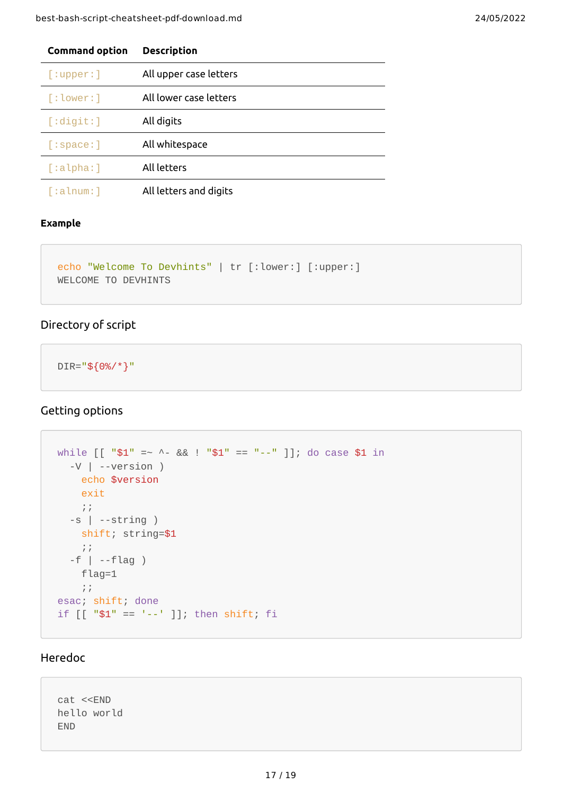| <b>Command option</b> | <b>Description</b>     |
|-----------------------|------------------------|
| [:upper:]             | All upper case letters |
| $\lceil$ :lower:]     | All lower case letters |
| $\lceil$ :digit:]     | All digits             |
| [:space:]             | All whitespace         |
| $\lceil$ :alpha:]     | All letters            |
| [:alnum:]             | All letters and digits |

#### **Example**

```
echo "Welcome To Devhints" | tr [:lower:] [:upper:]
WELCOME TO DEVHINTS
```
### <span id="page-16-0"></span>Directory of script

DIR="\${0%/\*}"

## <span id="page-16-1"></span>Getting options

```
while [ [ "$1" = ~ ^- && ! "$1" == "--" ] ; do case $1 in
   -V | --version )
    echo $version
     exit
   \frac{1}{l} ;
   -s | --string )
    shift; string=$1
   \frac{1}{l} -f | --flag )
    flag=1
    ;;
esac; shift; done
if [[ "$1" == '--' ]]; then shift; fi
```
### <span id="page-16-2"></span>Heredoc

cat <<END hello world END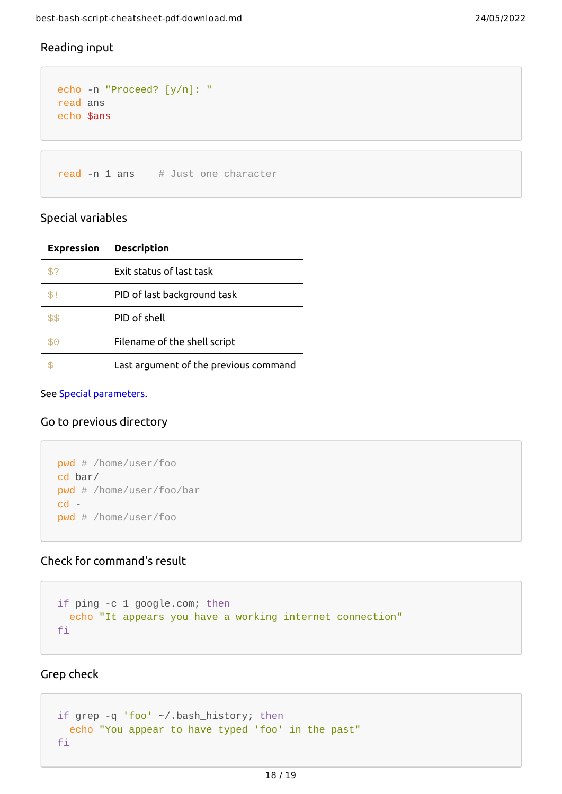## <span id="page-17-0"></span>Reading input

```
echo -n "Proceed? [y/n]: "
read ans
echo $ans
```
read  $-n$  1 ans  $\#$  Just one character

#### <span id="page-17-1"></span>Special variables

|      | <b>Expression Description</b>         |
|------|---------------------------------------|
|      | Exit status of last task              |
| \$1  | PID of last background task           |
| \$\$ | PID of shell                          |
| \$0  | Filename of the shell script          |
|      | Last argument of the previous command |

See Special [parameters](http://wiki.bash-hackers.org/syntax/shellvars#special_parameters_and_shell_variables).

#### <span id="page-17-2"></span>Go to previous directory

```
pwd # /home/user/foo
cd bar/
pwd # /home/user/foo/bar
cd -
pwd # /home/user/foo
```
## <span id="page-17-3"></span>Check for command's result

```
if ping -c 1 google.com; then
  echo "It appears you have a working internet connection"
fi
```
<span id="page-17-4"></span>Grep check

```
if grep -q 'foo' ~/.bash_history; then
  echo "You appear to have typed 'foo' in the past"
fi
```